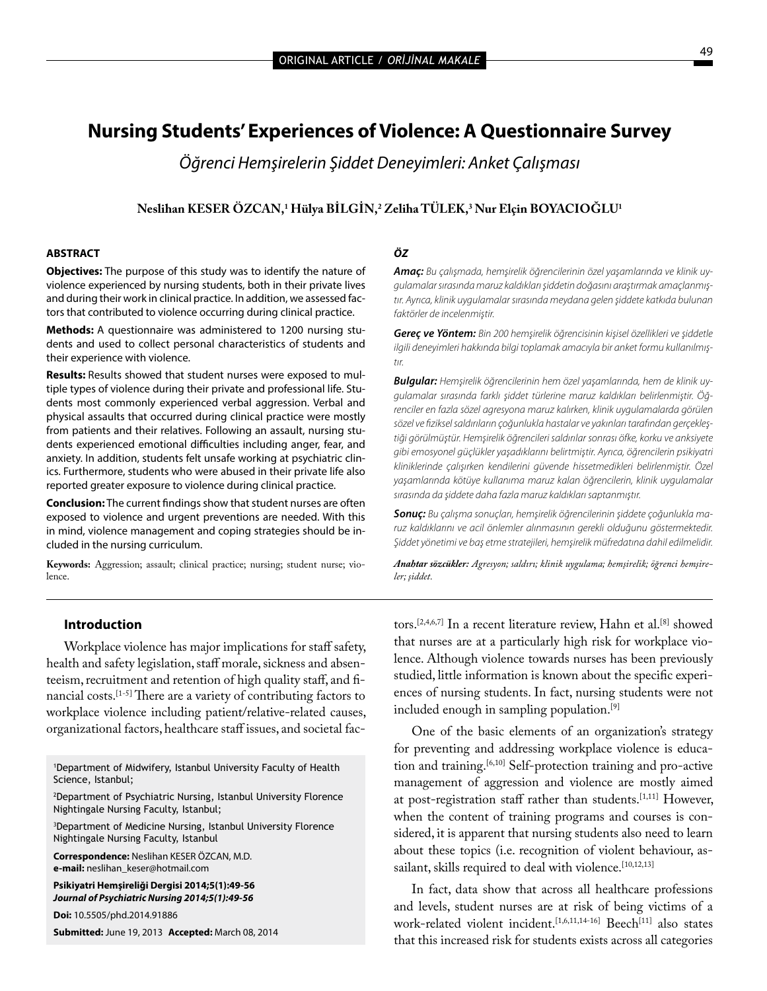# **Nursing Students' Experiences of Violence: A Questionnaire Survey**

*Öğrenci Hemşirelerin Şiddet Deneyimleri: Anket Çalışması*

## **Neslihan KESER ÖZCAN,1 Hülya BİLGİN,2 Zeliha TÜLEK,3 Nur Elçin BOYACIOĞLU1**

#### **ABSTRACT**

**Objectives:** The purpose of this study was to identify the nature of violence experienced by nursing students, both in their private lives and during their work in clinical practice. In addition, we assessed factors that contributed to violence occurring during clinical practice.

**Methods:** A questionnaire was administered to 1200 nursing students and used to collect personal characteristics of students and their experience with violence.

**Results:** Results showed that student nurses were exposed to multiple types of violence during their private and professional life. Students most commonly experienced verbal aggression. Verbal and physical assaults that occurred during clinical practice were mostly from patients and their relatives. Following an assault, nursing students experienced emotional difficulties including anger, fear, and anxiety. In addition, students felt unsafe working at psychiatric clinics. Furthermore, students who were abused in their private life also reported greater exposure to violence during clinical practice.

**Conclusion:** The current findings show that student nurses are often exposed to violence and urgent preventions are needed. With this in mind, violence management and coping strategies should be included in the nursing curriculum.

**Keywords:** Aggression; assault; clinical practice; nursing; student nurse; violence.

## *ÖZ*

*Amaç: Bu çalışmada, hemşirelik öğrencilerinin özel yaşamlarında ve klinik uygulamalar sırasında maruz kaldıkları şiddetin doğasını araştırmak amaçlanmıştır. Ayrıca, klinik uygulamalar sırasında meydana gelen şiddete katkıda bulunan faktörler de incelenmiştir.*

*Gereç ve Yöntem: Bin 200 hemşirelik öğrencisinin kişisel özellikleri ve şiddetle ilgili deneyimleri hakkında bilgi toplamak amacıyla bir anket formu kullanılmıştır.*

*Bulgular: Hemşirelik öğrencilerinin hem özel yaşamlarında, hem de klinik uygulamalar sırasında farklı şiddet türlerine maruz kaldıkları belirlenmiştir. Öğrenciler en fazla sözel agresyona maruz kalırken, klinik uygulamalarda görülen sözel ve fiziksel saldırıların çoğunlukla hastalar ve yakınları tarafından gerçekleştiği görülmüştür. Hemşirelik öğrencileri saldırılar sonrası öfke, korku ve anksiyete gibi emosyonel güçlükler yaşadıklarını belirtmiştir. Ayrıca, öğrencilerin psikiyatri kliniklerinde çalışırken kendilerini güvende hissetmedikleri belirlenmiştir. Özel yaşamlarında kötüye kullanıma maruz kalan öğrencilerin, klinik uygulamalar sırasında da şiddete daha fazla maruz kaldıkları saptanmıştır.*

*Sonuç: Bu çalışma sonuçları, hemşirelik öğrencilerinin şiddete çoğunlukla maruz kaldıklarını ve acil önlemler alınmasının gerekli olduğunu göstermektedir. Şiddet yönetimi ve baş etme stratejileri, hemşirelik müfredatına dahil edilmelidir.*

*Anahtar sözcükler: Agresyon; saldırı; klinik uygulama; hemşirelik; öğrenci hemşireler; şiddet.*

### **Introduction**

Workplace violence has major implications for staff safety, health and safety legislation, staff morale, sickness and absenteeism, recruitment and retention of high quality staff, and financial costs.[1-5] There are a variety of contributing factors to workplace violence including patient/relative-related causes, organizational factors, healthcare staff issues, and societal fac-

1 Department of Midwifery, Istanbul University Faculty of Health Science, Istanbul;

2 Department of Psychiatric Nursing, Istanbul University Florence Nightingale Nursing Faculty, Istanbul;

3 Department of Medicine Nursing, Istanbul University Florence Nightingale Nursing Faculty, Istanbul

**Correspondence:** Neslihan KESER ÖZCAN, M.D. **e-mail:** neslihan\_keser@hotmail.com

**Psikiyatri Hemşireliği Dergisi 2014;5(1):49-56** *Journal of Psychiatric Nursing 2014;5(1):49-56*

**Doi:** 10.5505/phd.2014.91886

**Submitted:** June 19, 2013**Accepted:** March 08, 2014

tors.[2,4,6,7] In a recent literature review, Hahn et al.[8] showed that nurses are at a particularly high risk for workplace violence. Although violence towards nurses has been previously studied, little information is known about the specific experiences of nursing students. In fact, nursing students were not included enough in sampling population.<sup>[9]</sup>

One of the basic elements of an organization's strategy for preventing and addressing workplace violence is education and training.<sup>[6,10]</sup> Self-protection training and pro-active management of aggression and violence are mostly aimed at post-registration staff rather than students.[1,11] However, when the content of training programs and courses is considered, it is apparent that nursing students also need to learn about these topics (i.e. recognition of violent behaviour, assailant, skills required to deal with violence.<sup>[10,12,13]</sup>

In fact, data show that across all healthcare professions and levels, student nurses are at risk of being victims of a work-related violent incident.<sup>[1,6,11,14-16]</sup> Beech<sup>[11]</sup> also states that this increased risk for students exists across all categories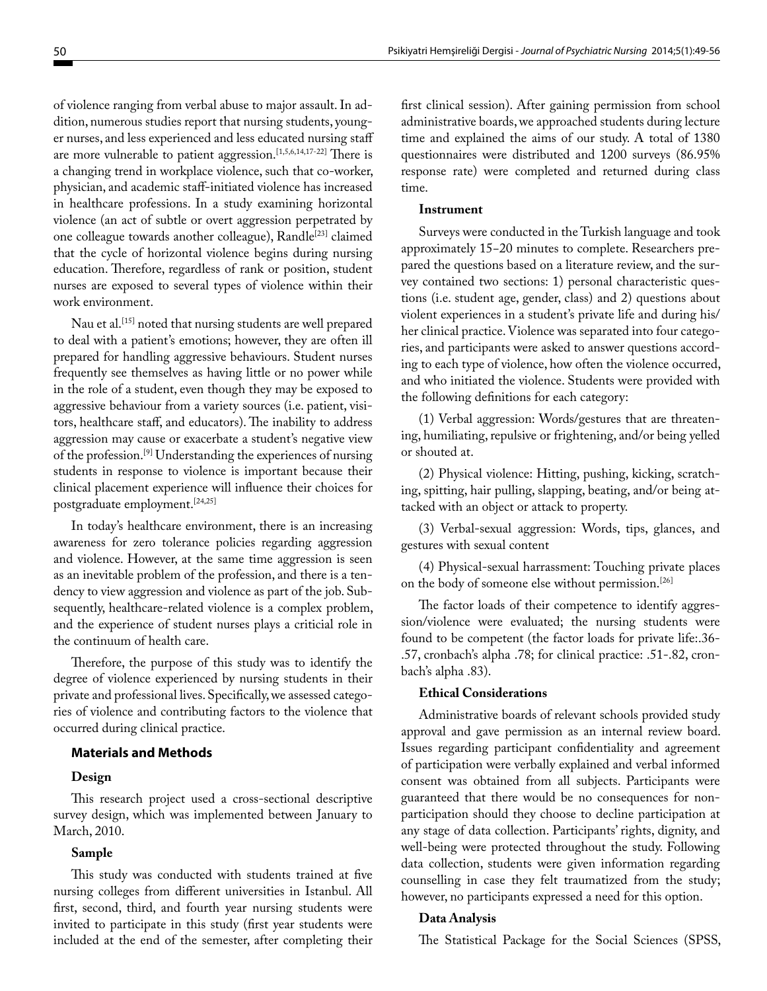of violence ranging from verbal abuse to major assault. In addition, numerous studies report that nursing students, younger nurses, and less experienced and less educated nursing staff are more vulnerable to patient aggression.<sup>[1,5,6,14,17-22]</sup> There is a changing trend in workplace violence, such that co-worker, physician, and academic staff-initiated violence has increased in healthcare professions. In a study examining horizontal violence (an act of subtle or overt aggression perpetrated by one colleague towards another colleague), Randle<sup>[23]</sup> claimed that the cycle of horizontal violence begins during nursing education. Therefore, regardless of rank or position, student nurses are exposed to several types of violence within their work environment.

Nau et al.<sup>[15]</sup> noted that nursing students are well prepared to deal with a patient's emotions; however, they are often ill prepared for handling aggressive behaviours. Student nurses frequently see themselves as having little or no power while in the role of a student, even though they may be exposed to aggressive behaviour from a variety sources (i.e. patient, visitors, healthcare staff, and educators). The inability to address aggression may cause or exacerbate a student's negative view of the profession.[9] Understanding the experiences of nursing students in response to violence is important because their clinical placement experience will influence their choices for postgraduate employment.[24,25]

In today's healthcare environment, there is an increasing awareness for zero tolerance policies regarding aggression and violence. However, at the same time aggression is seen as an inevitable problem of the profession, and there is a tendency to view aggression and violence as part of the job. Subsequently, healthcare-related violence is a complex problem, and the experience of student nurses plays a criticial role in the continuum of health care.

Therefore, the purpose of this study was to identify the degree of violence experienced by nursing students in their private and professional lives. Specifically, we assessed categories of violence and contributing factors to the violence that occurred during clinical practice.

### **Materials and Methods**

#### **Design**

This research project used a cross-sectional descriptive survey design, which was implemented between January to March, 2010.

## **Sample**

This study was conducted with students trained at five nursing colleges from different universities in Istanbul. All first, second, third, and fourth year nursing students were invited to participate in this study (first year students were included at the end of the semester, after completing their first clinical session). After gaining permission from school administrative boards, we approached students during lecture time and explained the aims of our study. A total of 1380 questionnaires were distributed and 1200 surveys (86.95% response rate) were completed and returned during class time.

#### **Instrument**

Surveys were conducted in the Turkish language and took approximately 15−20 minutes to complete. Researchers prepared the questions based on a literature review, and the survey contained two sections: 1) personal characteristic questions (i.e. student age, gender, class) and 2) questions about violent experiences in a student's private life and during his/ her clinical practice. Violence was separated into four categories, and participants were asked to answer questions according to each type of violence, how often the violence occurred, and who initiated the violence. Students were provided with the following definitions for each category:

(1) Verbal aggression: Words/gestures that are threatening, humiliating, repulsive or frightening, and/or being yelled or shouted at.

(2) Physical violence: Hitting, pushing, kicking, scratching, spitting, hair pulling, slapping, beating, and/or being attacked with an object or attack to property.

(3) Verbal-sexual aggression: Words, tips, glances, and gestures with sexual content

(4) Physical-sexual harrassment: Touching private places on the body of someone else without permission.[26]

The factor loads of their competence to identify aggression/violence were evaluated; the nursing students were found to be competent (the factor loads for private life:.36- .57, cronbach's alpha .78; for clinical practice: .51-.82, cronbach's alpha .83).

#### **Ethical Considerations**

Administrative boards of relevant schools provided study approval and gave permission as an internal review board. Issues regarding participant confidentiality and agreement of participation were verbally explained and verbal informed consent was obtained from all subjects. Participants were guaranteed that there would be no consequences for nonparticipation should they choose to decline participation at any stage of data collection. Participants' rights, dignity, and well-being were protected throughout the study. Following data collection, students were given information regarding counselling in case they felt traumatized from the study; however, no participants expressed a need for this option.

### **Data Analysis**

The Statistical Package for the Social Sciences (SPSS,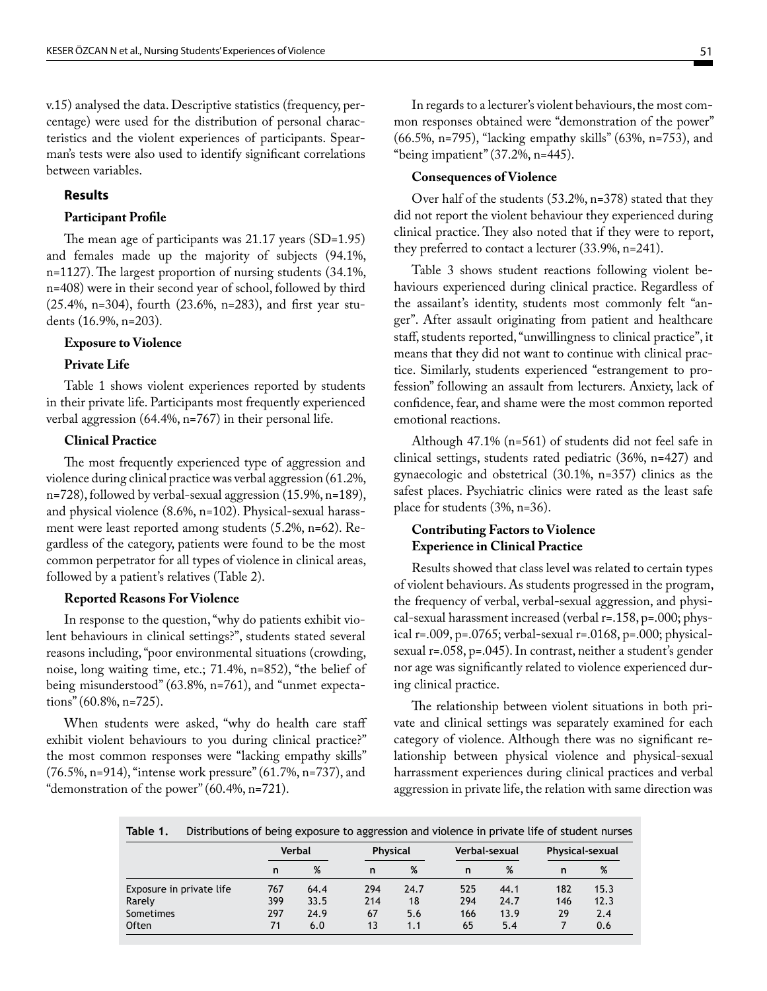v.15) analysed the data. Descriptive statistics (frequency, percentage) were used for the distribution of personal characteristics and the violent experiences of participants. Spearman's tests were also used to identify significant correlations between variables.

## **Results**

#### **Participant Profile**

The mean age of participants was 21.17 years (SD=1.95) and females made up the majority of subjects (94.1%, n=1127). The largest proportion of nursing students (34.1%, n=408) were in their second year of school, followed by third (25.4%, n=304), fourth (23.6%, n=283), and first year students (16.9%, n=203).

#### **Exposure to Violence**

## **Private Life**

Table 1 shows violent experiences reported by students in their private life. Participants most frequently experienced verbal aggression (64.4%, n=767) in their personal life.

### **Clinical Practice**

The most frequently experienced type of aggression and violence during clinical practice was verbal aggression (61.2%, n=728), followed by verbal-sexual aggression (15.9%, n=189), and physical violence (8.6%, n=102). Physical-sexual harassment were least reported among students (5.2%, n=62). Regardless of the category, patients were found to be the most common perpetrator for all types of violence in clinical areas, followed by a patient's relatives (Table 2).

## **Reported Reasons For Violence**

In response to the question, "why do patients exhibit violent behaviours in clinical settings?", students stated several reasons including, "poor environmental situations (crowding, noise, long waiting time, etc.; 71.4%, n=852), "the belief of being misunderstood" (63.8%, n=761), and "unmet expectations" (60.8%, n=725).

When students were asked, "why do health care staff exhibit violent behaviours to you during clinical practice?" the most common responses were "lacking empathy skills" (76.5%, n=914), "intense work pressure" (61.7%, n=737), and "demonstration of the power" (60.4%, n=721).

In regards to a lecturer's violent behaviours, the most common responses obtained were "demonstration of the power" (66.5%, n=795), "lacking empathy skills" (63%, n=753), and "being impatient" (37.2%, n=445).

#### **Consequences of Violence**

Over half of the students (53.2%, n=378) stated that they did not report the violent behaviour they experienced during clinical practice. They also noted that if they were to report, they preferred to contact a lecturer (33.9%, n=241).

Table 3 shows student reactions following violent behaviours experienced during clinical practice. Regardless of the assailant's identity, students most commonly felt "anger". After assault originating from patient and healthcare staff, students reported, "unwillingness to clinical practice", it means that they did not want to continue with clinical practice. Similarly, students experienced "estrangement to profession" following an assault from lecturers. Anxiety, lack of confidence, fear, and shame were the most common reported emotional reactions.

Although 47.1% (n=561) of students did not feel safe in clinical settings, students rated pediatric (36%, n=427) and gynaecologic and obstetrical (30.1%, n=357) clinics as the safest places. Psychiatric clinics were rated as the least safe place for students (3%, n=36).

## **Contributing Factors to Violence Experience in Clinical Practice**

Results showed that class level was related to certain types of violent behaviours. As students progressed in the program, the frequency of verbal, verbal-sexual aggression, and physical-sexual harassment increased (verbal r=.158, p=.000; physical r=.009, p=.0765; verbal-sexual r=.0168, p=.000; physicalsexual r=.058, p=.045). In contrast, neither a student's gender nor age was significantly related to violence experienced during clinical practice.

The relationship between violent situations in both private and clinical settings was separately examined for each category of violence. Although there was no significant relationship between physical violence and physical-sexual harrassment experiences during clinical practices and verbal aggression in private life, the relation with same direction was

**Table 1.** Distributions of being exposure to aggression and violence in private life of student nurses

|                          | Verbal |      | <b>Physical</b> |      | Verbal-sexual |      | Physical-sexual |      |
|--------------------------|--------|------|-----------------|------|---------------|------|-----------------|------|
|                          | n      | %    | n               | %    | n             | %    | n               | %    |
| Exposure in private life | 767    | 64.4 | 294             | 24.7 | 525           | 44.1 | 182             | 15.3 |
| Rarely                   | 399    | 33.5 | 214             | 18   | 294           | 24.7 | 146             | 12.3 |
| Sometimes                | 297    | 24.9 | 67              | 5.6  | 166           | 13.9 | 29              | 2.4  |
| Often                    | 71     | 6.0  | 13              | 1.1  | 65            | 5.4  |                 | 0.6  |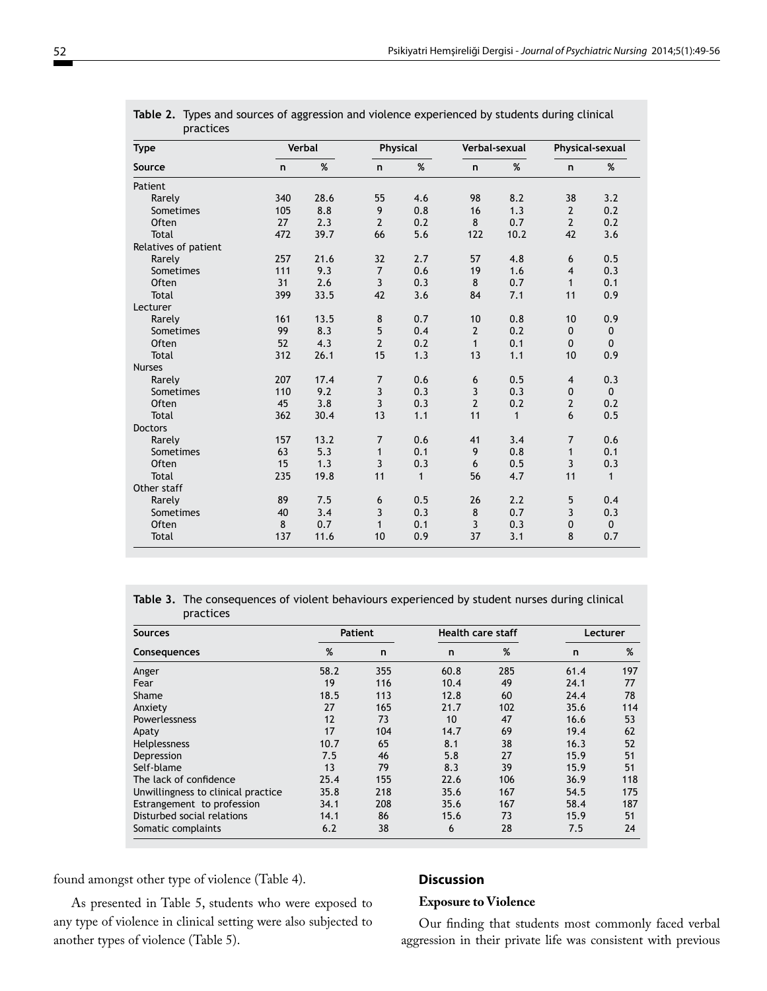| practices<br><b>Verbal</b><br>Physical |              |      |                |              |                |              |                 |              |
|----------------------------------------|--------------|------|----------------|--------------|----------------|--------------|-----------------|--------------|
| <b>Type</b>                            |              |      |                |              | Verbal-sexual  |              | Physical-sexual |              |
| Source                                 | $\mathsf{n}$ | $\%$ | $\mathsf{n}$   | %            | n              | %            | n               | $\%$         |
| Patient                                |              |      |                |              |                |              |                 |              |
| Rarely                                 | 340          | 28.6 | 55             | 4.6          | 98             | 8.2          | 38              | 3.2          |
| Sometimes                              | 105          | 8.8  | 9              | 0.8          | 16             | 1.3          | $\overline{2}$  | 0.2          |
| <b>Often</b>                           | 27           | 2.3  | $\overline{2}$ | 0.2          | 8              | 0.7          | $\overline{2}$  | 0.2          |
| <b>Total</b>                           | 472          | 39.7 | 66             | 5.6          | 122            | 10.2         | 42              | 3.6          |
| Relatives of patient                   |              |      |                |              |                |              |                 |              |
| Rarely                                 | 257          | 21.6 | 32             | 2.7          | 57             | 4.8          | 6               | 0.5          |
| Sometimes                              | 111          | 9.3  | $\overline{7}$ | 0.6          | 19             | 1.6          | $\overline{4}$  | 0.3          |
| Often                                  | 31           | 2.6  | 3              | 0.3          | 8              | 0.7          | $\mathbf{1}$    | 0.1          |
| <b>Total</b>                           | 399          | 33.5 | 42             | 3.6          | 84             | 7.1          | 11              | 0.9          |
| Lecturer                               |              |      |                |              |                |              |                 |              |
| Rarely                                 | 161          | 13.5 | 8              | 0.7          | 10             | 0.8          | 10              | 0.9          |
| Sometimes                              | 99           | 8.3  | 5              | 0.4          | $\overline{2}$ | 0.2          | $\mathbf{0}$    | $\mathbf{0}$ |
| Often                                  | 52           | 4.3  | $\overline{2}$ | 0.2          | $\mathbf{1}$   | 0.1          | $\mathbf{0}$    | $\mathbf{0}$ |
| Total                                  | 312          | 26.1 | 15             | 1.3          | 13             | 1.1          | 10              | 0.9          |
| <b>Nurses</b>                          |              |      |                |              |                |              |                 |              |
| Rarely                                 | 207          | 17.4 | $\overline{7}$ | 0.6          | 6              | 0.5          | $\overline{4}$  | 0.3          |
| Sometimes                              | 110          | 9.2  | 3              | 0.3          | 3              | 0.3          | $\mathbf 0$     | $\Omega$     |
| Often                                  | 45           | 3.8  | 3              | 0.3          | $\overline{2}$ | 0.2          | $\overline{2}$  | 0.2          |
| <b>Total</b>                           | 362          | 30.4 | 13             | 1.1          | 11             | $\mathbf{1}$ | 6               | 0.5          |
| <b>Doctors</b>                         |              |      |                |              |                |              |                 |              |
| Rarely                                 | 157          | 13.2 | $\overline{7}$ | 0.6          | 41             | 3.4          | $\overline{7}$  | 0.6          |
| Sometimes                              | 63           | 5.3  | $\mathbf{1}$   | 0.1          | 9              | 0.8          | $\mathbf{1}$    | 0.1          |
| <b>Often</b>                           | 15           | 1.3  | 3              | 0.3          | 6              | 0.5          | 3               | 0.3          |
| <b>Total</b>                           | 235          | 19.8 | 11             | $\mathbf{1}$ | 56             | 4.7          | 11              | $\mathbf{1}$ |
| Other staff                            |              |      |                |              |                |              |                 |              |
| Rarely                                 | 89           | 7.5  | 6              | 0.5          | 26             | 2.2          | 5               | 0.4          |
| Sometimes                              | 40           | 3.4  | 3              | 0.3          | 8              | 0.7          | 3               | 0.3          |
| Often                                  | 8            | 0.7  | $\mathbf{1}$   | 0.1          | 3              | 0.3          | $\mathbf 0$     | $\mathbf{0}$ |
| <b>Total</b>                           | 137          | 11.6 | 10             | 0.9          | 37             | 3.1          | 8               | 0.7          |

| Table 2. Types and sources of aggression and violence experienced by students during clinical |
|-----------------------------------------------------------------------------------------------|
| practices                                                                                     |

**Table 3.** The consequences of violent behaviours experienced by student nurses during clinical practices

| <b>Sources</b>                     | Patient |     | <b>Health care staff</b> |     | Lecturer     |     |
|------------------------------------|---------|-----|--------------------------|-----|--------------|-----|
| Consequences                       | %       | n   | n                        | %   | $\mathsf{n}$ | %   |
| Anger                              | 58.2    | 355 | 60.8                     | 285 | 61.4         | 197 |
| Fear                               | 19      | 116 | 10.4                     | 49  | 24.1         | 77  |
| Shame                              | 18.5    | 113 | 12.8                     | 60  | 24.4         | 78  |
| Anxiety                            | 27      | 165 | 21.7                     | 102 | 35.6         | 114 |
| Powerlessness                      | 12      | 73  | 10                       | 47  | 16.6         | 53  |
| Apaty                              | 17      | 104 | 14.7                     | 69  | 19.4         | 62  |
| <b>Helplessness</b>                | 10.7    | 65  | 8.1                      | 38  | 16.3         | 52  |
| Depression                         | 7.5     | 46  | 5.8                      | 27  | 15.9         | 51  |
| Self-blame                         | 13      | 79  | 8.3                      | 39  | 15.9         | 51  |
| The lack of confidence             | 25.4    | 155 | 22.6                     | 106 | 36.9         | 118 |
| Unwillingness to clinical practice | 35.8    | 218 | 35.6                     | 167 | 54.5         | 175 |
| Estrangement to profession         | 34.1    | 208 | 35.6                     | 167 | 58.4         | 187 |
| Disturbed social relations         | 14.1    | 86  | 15.6                     | 73  | 15.9         | 51  |
| Somatic complaints                 | 6.2     | 38  | 6                        | 28  | 7.5          | 24  |

found amongst other type of violence (Table 4).

As presented in Table 5, students who were exposed to any type of violence in clinical setting were also subjected to another types of violence (Table 5).

#### **Discussion**

#### **Exposure to Violence**

Our finding that students most commonly faced verbal aggression in their private life was consistent with previous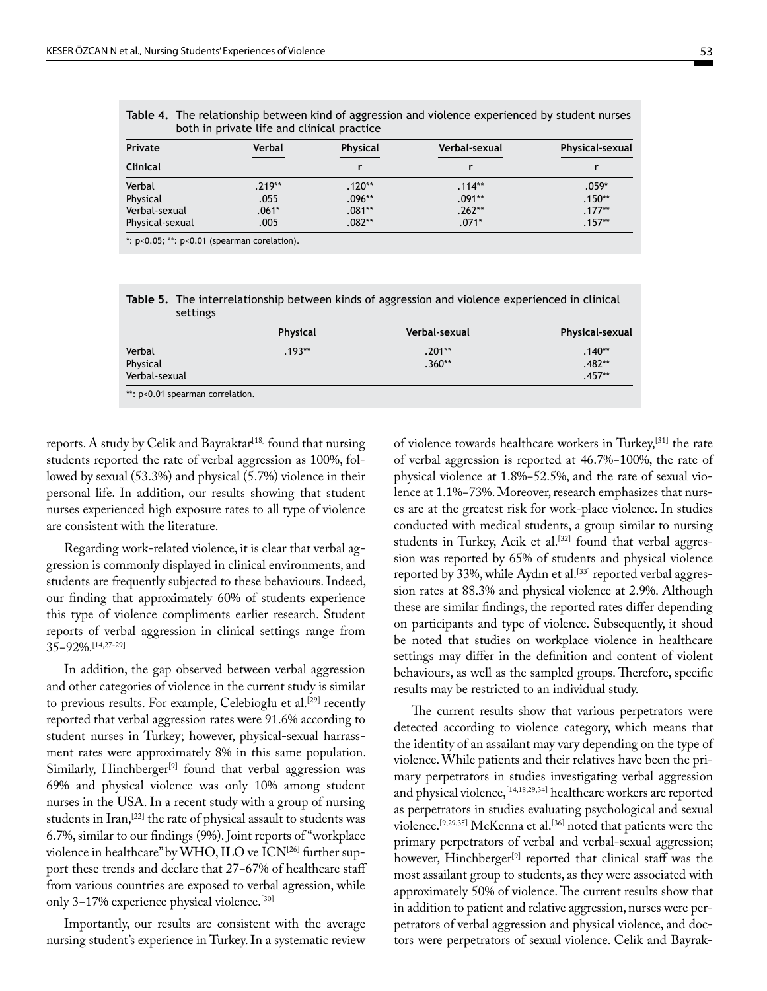| Private         | Verbal   | <b>Physical</b> | Verbal-sexual | Physical-sexual |  |
|-----------------|----------|-----------------|---------------|-----------------|--|
| <b>Clinical</b> |          |                 |               |                 |  |
| Verbal          | $.219**$ | $.120**$        | $.114**$      | $.059*$         |  |
| Physical        | .055     | .096**          | $.091**$      | $.150**$        |  |
| Verbal-sexual   | $.061*$  | $.081**$        | $.262**$      | $.177***$       |  |
| Physical-sexual | .005     | $.082**$        | $.071*$       | $.157**$        |  |

**Table 4.** The relationship between kind of aggression and violence experienced by student nurses

\*: p<0.05; \*\*: p<0.01 (spearman corelation).

**Table 5.** The interrelationship between kinds of aggression and violence experienced in clinical settings

|                                     | <b>Physical</b> | Verbal-sexual        | <b>Physical-sexual</b>           |
|-------------------------------------|-----------------|----------------------|----------------------------------|
| Verbal<br>Physical<br>Verbal-sexual | $.193**$        | $.201**$<br>$.360**$ | $.140**$<br>$.482**$<br>$.457**$ |
| **: p<0.01 spearman correlation.    |                 |                      |                                  |

reports. A study by Celik and Bayraktar<sup>[18]</sup> found that nursing students reported the rate of verbal aggression as 100%, followed by sexual (53.3%) and physical (5.7%) violence in their personal life. In addition, our results showing that student nurses experienced high exposure rates to all type of violence are consistent with the literature.

Regarding work-related violence, it is clear that verbal aggression is commonly displayed in clinical environments, and students are frequently subjected to these behaviours. Indeed, our finding that approximately 60% of students experience this type of violence compliments earlier research. Student reports of verbal aggression in clinical settings range from 35−92%.[14,27-29]

In addition, the gap observed between verbal aggression and other categories of violence in the current study is similar to previous results. For example, Celebioglu et al.<sup>[29]</sup> recently reported that verbal aggression rates were 91.6% according to student nurses in Turkey; however, physical-sexual harrassment rates were approximately 8% in this same population. Similarly, Hinchberger<sup>[9]</sup> found that verbal aggression was 69% and physical violence was only 10% among student nurses in the USA. In a recent study with a group of nursing students in Iran,<sup>[22]</sup> the rate of physical assault to students was 6.7%, similar to our findings (9%). Joint reports of "workplace violence in healthcare" by WHO, ILO ve  $ICN<sup>[26]</sup>$  further support these trends and declare that 27−67% of healthcare staff from various countries are exposed to verbal agression, while only 3−17% experience physical violence.[30]

Importantly, our results are consistent with the average nursing student's experience in Turkey. In a systematic review of violence towards healthcare workers in Turkey,[31] the rate of verbal aggression is reported at 46.7%−100%, the rate of physical violence at 1.8%−52.5%, and the rate of sexual violence at 1.1%−73%. Moreover, research emphasizes that nurses are at the greatest risk for work-place violence. In studies conducted with medical students, a group similar to nursing students in Turkey, Acik et al.<sup>[32]</sup> found that verbal aggression was reported by 65% of students and physical violence reported by 33%, while Aydın et al.<sup>[33]</sup> reported verbal aggression rates at 88.3% and physical violence at 2.9%. Although these are similar findings, the reported rates differ depending on participants and type of violence. Subsequently, it shoud be noted that studies on workplace violence in healthcare settings may differ in the definition and content of violent behaviours, as well as the sampled groups. Therefore, specific results may be restricted to an individual study.

The current results show that various perpetrators were detected according to violence category, which means that the identity of an assailant may vary depending on the type of violence. While patients and their relatives have been the primary perpetrators in studies investigating verbal aggression and physical violence,[14,18,29,34] healthcare workers are reported as perpetrators in studies evaluating psychological and sexual violence.[9,29,35] McKenna et al.[36] noted that patients were the primary perpetrators of verbal and verbal-sexual aggression; however, Hinchberger<sup>[9]</sup> reported that clinical staff was the most assailant group to students, as they were associated with approximately 50% of violence. The current results show that in addition to patient and relative aggression, nurses were perpetrators of verbal aggression and physical violence, and doctors were perpetrators of sexual violence. Celik and Bayrak-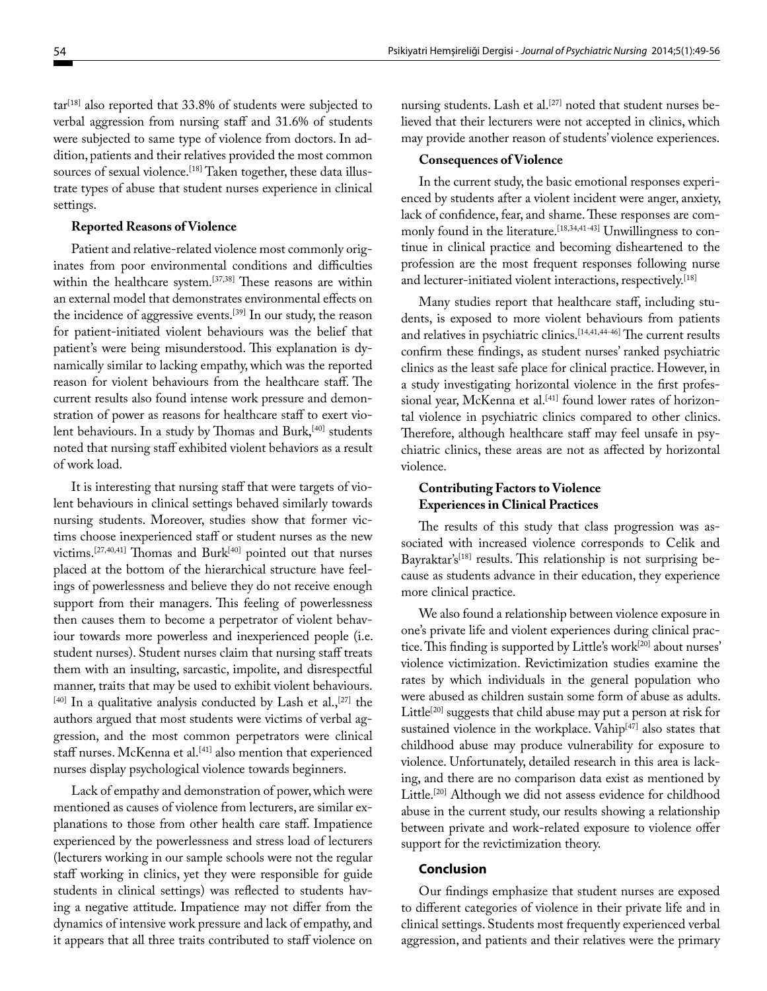$\text{tar}^{\text{[18]}}$  also reported that 33.8% of students were subjected to verbal aggression from nursing staff and 31.6% of students were subjected to same type of violence from doctors. In addition, patients and their relatives provided the most common sources of sexual violence.<sup>[18]</sup> Taken together, these data illustrate types of abuse that student nurses experience in clinical settings.

#### **Reported Reasons of Violence**

Patient and relative-related violence most commonly originates from poor environmental conditions and difficulties within the healthcare system.[37,38] These reasons are within an external model that demonstrates environmental effects on the incidence of aggressive events.<sup>[39]</sup> In our study, the reason for patient-initiated violent behaviours was the belief that patient's were being misunderstood. This explanation is dynamically similar to lacking empathy, which was the reported reason for violent behaviours from the healthcare staff. The current results also found intense work pressure and demonstration of power as reasons for healthcare staff to exert violent behaviours. In a study by Thomas and Burk,[40] students noted that nursing staff exhibited violent behaviors as a result of work load.

It is interesting that nursing staff that were targets of violent behaviours in clinical settings behaved similarly towards nursing students. Moreover, studies show that former victims choose inexperienced staff or student nurses as the new victims.[27,40,41] Thomas and Burk[40] pointed out that nurses placed at the bottom of the hierarchical structure have feelings of powerlessness and believe they do not receive enough support from their managers. This feeling of powerlessness then causes them to become a perpetrator of violent behaviour towards more powerless and inexperienced people (i.e. student nurses). Student nurses claim that nursing staff treats them with an insulting, sarcastic, impolite, and disrespectful manner, traits that may be used to exhibit violent behaviours.  $[40]$  In a qualitative analysis conducted by Lash et al.,  $[27]$  the authors argued that most students were victims of verbal aggression, and the most common perpetrators were clinical staff nurses. McKenna et al.<sup>[41]</sup> also mention that experienced nurses display psychological violence towards beginners.

Lack of empathy and demonstration of power, which were mentioned as causes of violence from lecturers, are similar explanations to those from other health care staff. Impatience experienced by the powerlessness and stress load of lecturers (lecturers working in our sample schools were not the regular staff working in clinics, yet they were responsible for guide students in clinical settings) was reflected to students having a negative attitude. Impatience may not differ from the dynamics of intensive work pressure and lack of empathy, and it appears that all three traits contributed to staff violence on

nursing students. Lash et al.<sup>[27]</sup> noted that student nurses believed that their lecturers were not accepted in clinics, which may provide another reason of students' violence experiences.

#### **Consequences of Violence**

In the current study, the basic emotional responses experienced by students after a violent incident were anger, anxiety, lack of confidence, fear, and shame. These responses are commonly found in the literature.<sup>[18,34,41-43]</sup> Unwillingness to continue in clinical practice and becoming disheartened to the profession are the most frequent responses following nurse and lecturer-initiated violent interactions, respectively.<sup>[18]</sup>

Many studies report that healthcare staff, including students, is exposed to more violent behaviours from patients and relatives in psychiatric clinics.<sup>[14,41,44-46]</sup> The current results confirm these findings, as student nurses' ranked psychiatric clinics as the least safe place for clinical practice. However, in a study investigating horizontal violence in the first professional year, McKenna et al.<sup>[41]</sup> found lower rates of horizontal violence in psychiatric clinics compared to other clinics. Therefore, although healthcare staff may feel unsafe in psychiatric clinics, these areas are not as affected by horizontal violence.

## **Contributing Factors to Violence Experiences in Clinical Practices**

The results of this study that class progression was associated with increased violence corresponds to Celik and Bayraktar's<sup>[18]</sup> results. This relationship is not surprising because as students advance in their education, they experience more clinical practice.

We also found a relationship between violence exposure in one's private life and violent experiences during clinical practice. This finding is supported by Little's work[20] about nurses' violence victimization. Revictimization studies examine the rates by which individuals in the general population who were abused as children sustain some form of abuse as adults. Little<sup>[20]</sup> suggests that child abuse may put a person at risk for sustained violence in the workplace. Vahip<sup>[47]</sup> also states that childhood abuse may produce vulnerability for exposure to violence. Unfortunately, detailed research in this area is lacking, and there are no comparison data exist as mentioned by Little.<sup>[20]</sup> Although we did not assess evidence for childhood abuse in the current study, our results showing a relationship between private and work-related exposure to violence offer support for the revictimization theory.

#### **Conclusion**

Our findings emphasize that student nurses are exposed to different categories of violence in their private life and in clinical settings. Students most frequently experienced verbal aggression, and patients and their relatives were the primary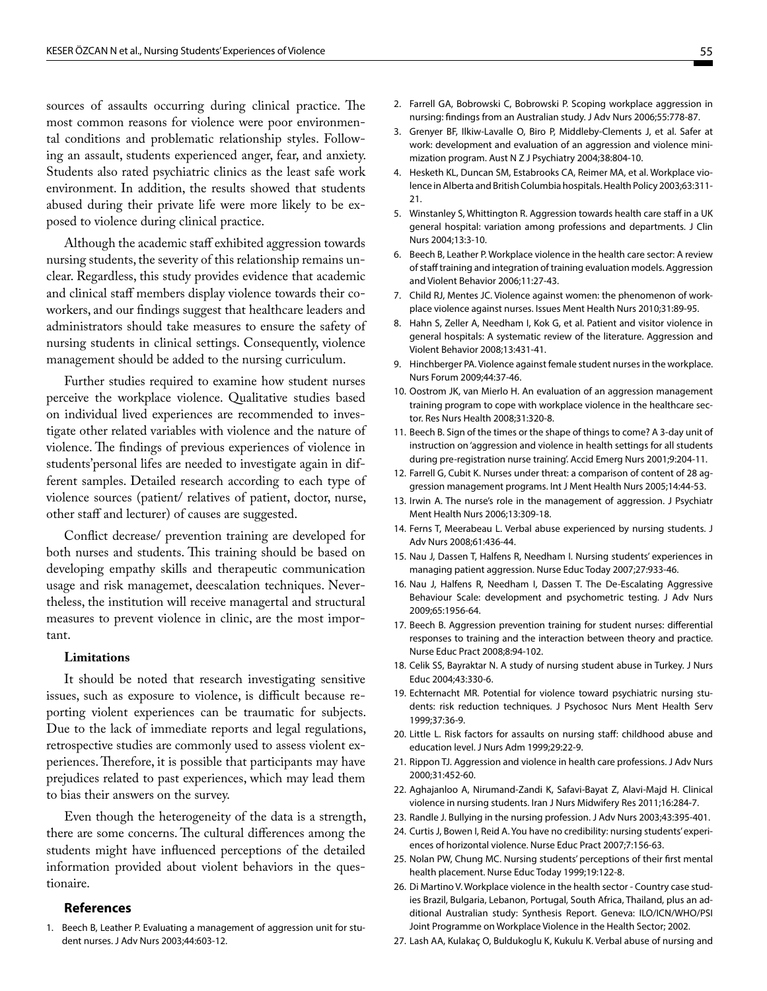sources of assaults occurring during clinical practice. The most common reasons for violence were poor environmental conditions and problematic relationship styles. Following an assault, students experienced anger, fear, and anxiety. Students also rated psychiatric clinics as the least safe work environment. In addition, the results showed that students abused during their private life were more likely to be exposed to violence during clinical practice.

Although the academic staff exhibited aggression towards nursing students, the severity of this relationship remains unclear. Regardless, this study provides evidence that academic and clinical staff members display violence towards their coworkers, and our findings suggest that healthcare leaders and administrators should take measures to ensure the safety of nursing students in clinical settings. Consequently, violence management should be added to the nursing curriculum.

Further studies required to examine how student nurses perceive the workplace violence. Qualitative studies based on individual lived experiences are recommended to investigate other related variables with violence and the nature of violence. The findings of previous experiences of violence in students'personal lifes are needed to investigate again in different samples. Detailed research according to each type of violence sources (patient/ relatives of patient, doctor, nurse, other staff and lecturer) of causes are suggested.

Conflict decrease/ prevention training are developed for both nurses and students. This training should be based on developing empathy skills and therapeutic communication usage and risk managemet, deescalation techniques. Nevertheless, the institution will receive managertal and structural measures to prevent violence in clinic, are the most important.

#### **Limitations**

It should be noted that research investigating sensitive issues, such as exposure to violence, is difficult because reporting violent experiences can be traumatic for subjects. Due to the lack of immediate reports and legal regulations, retrospective studies are commonly used to assess violent experiences. Therefore, it is possible that participants may have prejudices related to past experiences, which may lead them to bias their answers on the survey.

Even though the heterogeneity of the data is a strength, there are some concerns. The cultural differences among the students might have influenced perceptions of the detailed information provided about violent behaviors in the questionaire.

#### **References**

1. Beech B, Leather P. Evaluating a management of aggression unit for student nurses. J Adv Nurs 2003;44:603-12.

- 2. Farrell GA, Bobrowski C, Bobrowski P. Scoping workplace aggression in nursing: findings from an Australian study. J Adv Nurs 2006;55:778-87.
- 3. Grenyer BF, Ilkiw-Lavalle O, Biro P, Middleby-Clements J, et al. Safer at work: development and evaluation of an aggression and violence minimization program. Aust N Z J Psychiatry 2004;38:804-10.
- 4. Hesketh KL, Duncan SM, Estabrooks CA, Reimer MA, et al. Workplace violence in Alberta and British Columbia hospitals. Health Policy 2003;63:311- 21.
- 5. Winstanley S, Whittington R. Aggression towards health care staff in a UK general hospital: variation among professions and departments. J Clin Nurs 2004;13:3-10.
- 6. Beech B, Leather P. Workplace violence in the health care sector: A review of staff training and integration of training evaluation models. Aggression and Violent Behavior 2006;11:27-43.
- 7. Child RJ, Mentes JC. Violence against women: the phenomenon of workplace violence against nurses. Issues Ment Health Nurs 2010;31:89-95.
- 8. Hahn S, Zeller A, Needham I, Kok G, et al. Patient and visitor violence in general hospitals: A systematic review of the literature. Aggression and Violent Behavior 2008;13:431-41.
- 9. Hinchberger PA. Violence against female student nurses in the workplace. Nurs Forum 2009;44:37-46.
- 10. Oostrom JK, van Mierlo H. An evaluation of an aggression management training program to cope with workplace violence in the healthcare sector. Res Nurs Health 2008;31:320-8.
- 11. Beech B. Sign of the times or the shape of things to come? A 3-day unit of instruction on 'aggression and violence in health settings for all students during pre-registration nurse training'. Accid Emerg Nurs 2001;9:204-11.
- 12. Farrell G, Cubit K. Nurses under threat: a comparison of content of 28 aggression management programs. Int J Ment Health Nurs 2005;14:44-53.
- 13. Irwin A. The nurse's role in the management of aggression. J Psychiatr Ment Health Nurs 2006;13:309-18.
- 14. Ferns T, Meerabeau L. Verbal abuse experienced by nursing students. J Adv Nurs 2008;61:436-44.
- 15. Nau J, Dassen T, Halfens R, Needham I. Nursing students' experiences in managing patient aggression. Nurse Educ Today 2007;27:933-46.
- 16. Nau J, Halfens R, Needham I, Dassen T. The De-Escalating Aggressive Behaviour Scale: development and psychometric testing. J Adv Nurs 2009;65:1956-64.
- 17. Beech B. Aggression prevention training for student nurses: differential responses to training and the interaction between theory and practice. Nurse Educ Pract 2008;8:94-102.
- 18. Celik SS, Bayraktar N. A study of nursing student abuse in Turkey. J Nurs Educ 2004;43:330-6.
- 19. Echternacht MR. Potential for violence toward psychiatric nursing students: risk reduction techniques. J Psychosoc Nurs Ment Health Serv 1999;37:36-9.
- 20. Little L. Risk factors for assaults on nursing staff: childhood abuse and education level. J Nurs Adm 1999;29:22-9.
- 21. Rippon TJ. Aggression and violence in health care professions. J Adv Nurs 2000;31:452-60.
- 22. Aghajanloo A, Nirumand-Zandi K, Safavi-Bayat Z, Alavi-Majd H. Clinical violence in nursing students. Iran J Nurs Midwifery Res 2011;16:284-7.
- 23. Randle J. Bullying in the nursing profession. J Adv Nurs 2003;43:395-401.
- 24. Curtis J, Bowen I, Reid A. You have no credibility: nursing students' experiences of horizontal violence. Nurse Educ Pract 2007;7:156-63.
- 25. Nolan PW, Chung MC. Nursing students' perceptions of their first mental health placement. Nurse Educ Today 1999;19:122-8.
- 26. Di Martino V. Workplace violence in the health sector Country case studies Brazil, Bulgaria, Lebanon, Portugal, South Africa, Thailand, plus an additional Australian study: Synthesis Report. Geneva: ILO/ICN/WHO/PSI Joint Programme on Workplace Violence in the Health Sector; 2002.
- 27. Lash AA, Kulakaç O, Buldukoglu K, Kukulu K. Verbal abuse of nursing and